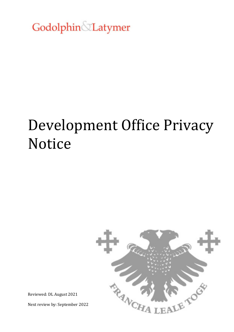Godolphin&Latymer

# Development Office Privacy Notice



Reviewed: DL August 2021

Next review by: September 2022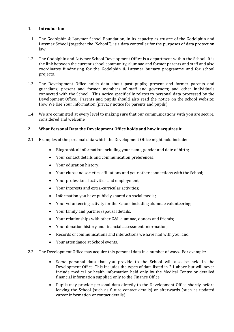## **1. Introduction**

- 1.1. The Godolphin & Latymer School Foundation, in its capacity as trustee of the Godolphin and Latymer School (together the "School"), is a data controller for the purposes of data protection law.
- 1.2. The Godolphin and Latymer School Development Office is a department within the School. It is the link between the current school community, alumnae and former parents and staff and also coordinates fundraising for the Godolphin & Latymer bursary programme and for school projects.
- 1.3. The Development Office holds data about past pupils; present and former parents and guardians; present and former members of staff and governors; and other individuals connected with the School. This notice specifically relates to personal data processed by the Development Office. Parents and pupils should also read the notice on the school website: How We Use Your Information (privacy notice for parents and pupils).
- 1.4. We are committed at every level to making sure that our communications with you are secure, considered and welcome.

## **2. What Personal Data the Development Office holds and how it acquires it**

- 2.1. Examples of the personal data which the Development Office might hold include:
	- Biographical information including your name, gender and date of birth;
	- Your contact details and communication preferences;
	- Your education history;
	- Your clubs and societies affiliations and your other connections with the School;
	- Your professional activities and employment;
	- Your interests and extra-curricular activities;
	- Information you have publicly shared on social media;
	- Your volunteering activity for the School including alumnae volunteering;
	- Your family and partner/spousal details;
	- Your relationships with other G&L alumnae, donors and friends;
	- Your donation history and financial assessment information;
	- Records of communications and interactions we have had with you; and
	- Your attendance at School events.
- 2.2. The Development Office may acquire this personal data in a number of ways. For example:
	- Some personal data that you provide to the School will also be held in the Development Office. This includes the types of data listed in 2.1 above but will never include medical or health information held only by the Medical Centre or detailed financial information supplied only to the Finance Office;
	- Pupils may provide personal data directly to the Development Office shortly before leaving the School (such as future contact details) or afterwards (such as updated career information or contact details);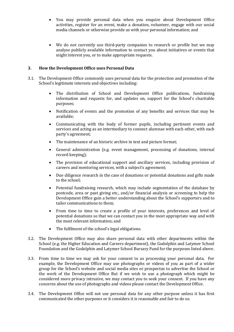- You may provide personal data when you enquire about Development Office activities, register for an event, make a donation, volunteer, engage with our social media channels or otherwise provide us with your personal information; and
- We do not currently use third-party companies to research or profile but we may analyse publicly available information to contact you about initiatives or events that might interest you, or to make appropriate requests.

## **3. How the Development Office uses Personal Data**

- 3.1. The Development Office commonly uses personal data for the protection and promotion of the School's legitimate interests and objectives including:
	- The distribution of School and Development Office publications, fundraising information and requests for, and updates on, support for the School's charitable purposes;
	- Notification of events and the promotion of any benefits and services that may be available;
	- Communicating with the body of former pupils, including pertinent events and services and acting as an intermediary to connect alumnae with each other, with each party's agreement;
	- The maintenance of an historic archive in text and picture format;
	- General administration (e.g. event management, processing of donations, internal record keeping);
	- The provision of educational support and ancillary services, including provision of careers and mentoring services, with a subject's agreement;
	- Due diligence research in the case of donations or potential donations and gifts made to the school;
	- Potential fundraising research, which may include segmentation of the database by postcode, area or past giving etc., and/or financial analysis or screening to help the Development Office gain a better understanding about the School's supporters and to tailor communications to them;
	- From time to time to create a profile of your interests, preferences and level of potential donations so that we can contact you in the most appropriate way and with the most relevant information; and
	- The fulfilment of the school's legal obligations.
- 3.2. The Development Office may also share personal data with other departments within the School (e.g. the Higher Education and Careers department), the Godolphin and Latymer School Foundation and the Godolphin and Latymer School Bursary Fund for the purposes listed above.
- 3.3. From time to time we may ask for your consent to us processing your personal data. For example, the Development Office may use photographs or videos of you as part of a wider group for the School's website and social media sites or prospectus to advertise the School or the work of the Development Office But if we wish to use a photograph which might be considered more privacy intrusive, we may contact you to seek your consent. If you have any concerns about the use of photographs and videos please contact the Development Office.
- 3.4. The Development Office will not use personal data for any other purpose unless it has first communicated the other purposes or it considers it is reasonable and fair to do so.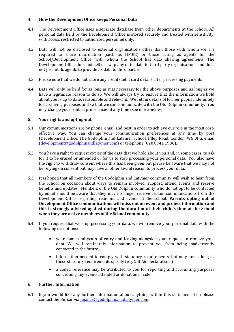## **4. How the Development Office keeps Personal Data**

- 4.1. The Development Office uses a separate database from other departments at the School. All personal data held by the Development Office is stored securely and treated with sensitivity, with access restricted to authorised personnel only.
- 4.2. Data will not be disclosed to external organisations other than those with whom we are required to share information (such as HMRC) or those acting as agents for the School/Development Office, with whom the School has data sharing agreements. The Development Office does not sell or swap any of its data to third party organisations and does not permit its agents to provide its data to third parties.
- 4.3. Please note that we do not store any credit/debit card details after processing payments
- 4.4. Data will only be held for as long as it is necessary for the above purposes and as long as we have a legitimate reason to do so. We will always try to ensure that the information we hold about you is up to date, reasonable and relevant. We retain details of former pupils indefinitely for archiving purposes and so that we can communicate with the Old Dolphin community. You may change your contact preferences at any time (see more below).

## **5. Your rights and opting-out**

- 5.1. Our communications are by phone, email and post in order to achieve our role in the most costeffective way. You can change your communication preferences at any time by post (Development Office, The Godolphin and Latymer School, Iffley Road, London, W6 0PG, email [\(development@godolphinandlatymer.com\)](mailto:development@godolphinandlatymer.com) or telephone (020 8741 1936).
- 5.2. You have a right to request copies of the data that we hold about you and, in some cases, to ask for it to be erased or amended or for us to stop processing your personal data. You also have the right to withdraw consent where this has been given but please be aware that we may not be relying on consent but may have another lawful reason to process your data.
- 5.3. It is hoped that all members of the Godolphin and Latymer community will wish to hear from the School on occasion about ways to remain involved, support, attend events and receive benefits and updates. Members of the Old Dolphin community who do not opt to be contacted by email should be aware that they may no longer receive certain communications from the Development Office regarding reunions and events at the school. **Parents opting out of Development Office communications will miss out on event and project information and this is strongly advised against during the duration of their child's time at the School when they are active members of the School community.**
- 5.4. If you request that we stop processing your data, we will remove your personal data with the following exceptions:
	- your name and years of entry and leaving alongside your request to remove your data. We will retain this information to prevent you from being inadvertently contacted in the future.
	- information needed to comply with statutory requirements, but only for as long as those statutory requirements specify (e.g. Gift Aid declarations)
	- a coded reference may be attributed to you for reporting and accounting purposes concerning any events attended or donations made.

#### **6. Further Information**

6.1. If you would like any further information about anything within this statement then please contact the Bursar via [finance@godolphinanadlatymer.com.](mailto:finance@godolphinanadlatymer.com)